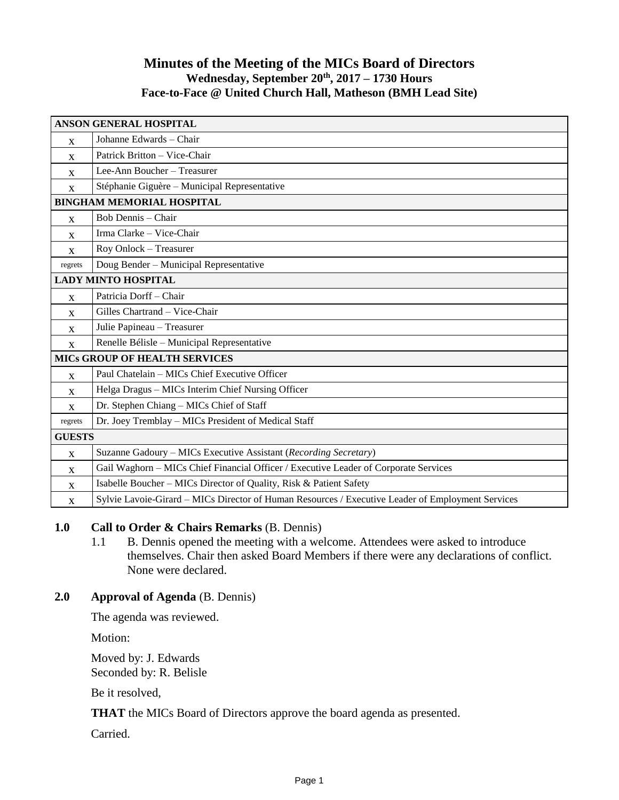## **Minutes of the Meeting of the MICs Board of Directors Wednesday, September 20th , 2017 – 1730 Hours Face-to-Face @ United Church Hall, Matheson (BMH Lead Site)**

| <b>ANSON GENERAL HOSPITAL</b>        |                                                                                                   |
|--------------------------------------|---------------------------------------------------------------------------------------------------|
| X                                    | Johanne Edwards - Chair                                                                           |
| $\mathbf{X}$                         | Patrick Britton - Vice-Chair                                                                      |
| X                                    | Lee-Ann Boucher - Treasurer                                                                       |
| X                                    | Stéphanie Giguère - Municipal Representative                                                      |
| <b>BINGHAM MEMORIAL HOSPITAL</b>     |                                                                                                   |
| $\mathbf{X}$                         | Bob Dennis - Chair                                                                                |
| X                                    | Irma Clarke - Vice-Chair                                                                          |
| $\mathbf{x}$                         | Roy Onlock - Treasurer                                                                            |
| regrets                              | Doug Bender - Municipal Representative                                                            |
| <b>LADY MINTO HOSPITAL</b>           |                                                                                                   |
| $\mathbf{x}$                         | Patricia Dorff - Chair                                                                            |
| $\mathbf{X}$                         | Gilles Chartrand - Vice-Chair                                                                     |
| $\mathbf{X}$                         | Julie Papineau - Treasurer                                                                        |
| $\mathbf{X}$                         | Renelle Bélisle - Municipal Representative                                                        |
| <b>MICS GROUP OF HEALTH SERVICES</b> |                                                                                                   |
| $\mathbf{x}$                         | Paul Chatelain - MICs Chief Executive Officer                                                     |
| $\mathbf{x}$                         | Helga Dragus - MICs Interim Chief Nursing Officer                                                 |
| $\mathbf{x}$                         | Dr. Stephen Chiang - MICs Chief of Staff                                                          |
| regrets                              | Dr. Joey Tremblay - MICs President of Medical Staff                                               |
| <b>GUESTS</b>                        |                                                                                                   |
| X                                    | Suzanne Gadoury – MICs Executive Assistant (Recording Secretary)                                  |
| X                                    | Gail Waghorn - MICs Chief Financial Officer / Executive Leader of Corporate Services              |
| $\mathbf{x}$                         | Isabelle Boucher – MICs Director of Quality, Risk & Patient Safety                                |
| X                                    | Sylvie Lavoie-Girard - MICs Director of Human Resources / Executive Leader of Employment Services |

## **1.0 Call to Order & Chairs Remarks** (B. Dennis)

1.1 B. Dennis opened the meeting with a welcome. Attendees were asked to introduce themselves. Chair then asked Board Members if there were any declarations of conflict. None were declared.

## **2.0 Approval of Agenda** (B. Dennis)

The agenda was reviewed.

Motion:

Moved by: J. Edwards Seconded by: R. Belisle

Be it resolved,

**THAT** the MICs Board of Directors approve the board agenda as presented.

Carried.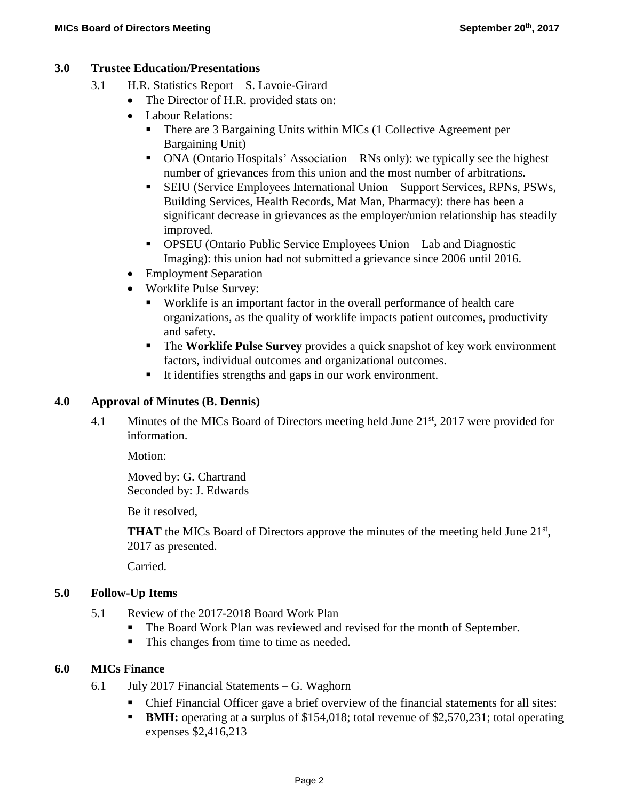#### **3.0 Trustee Education/Presentations**

- 3.1 H.R. Statistics Report S. Lavoie-Girard
	- The Director of H.R. provided stats on:
	- Labour Relations:
		- There are 3 Bargaining Units within MICs (1 Collective Agreement per Bargaining Unit)
		- ONA (Ontario Hospitals' Association RNs only): we typically see the highest number of grievances from this union and the most number of arbitrations.
		- SEIU (Service Employees International Union Support Services, RPNs, PSWs, Building Services, Health Records, Mat Man, Pharmacy): there has been a significant decrease in grievances as the employer/union relationship has steadily improved.
		- OPSEU (Ontario Public Service Employees Union Lab and Diagnostic Imaging): this union had not submitted a grievance since 2006 until 2016.
	- Employment Separation
	- Worklife Pulse Survey:
		- Worklife is an important factor in the overall performance of health care organizations, as the quality of worklife impacts patient outcomes, productivity and safety.
		- The **Worklife Pulse Survey** provides a quick snapshot of key work environment factors, individual outcomes and organizational outcomes.
		- It identifies strengths and gaps in our work environment.

#### **4.0 Approval of Minutes (B. Dennis)**

4.1 Minutes of the MICs Board of Directors meeting held June 21<sup>st</sup>, 2017 were provided for information.

Motion:

Moved by: G. Chartrand Seconded by: J. Edwards

Be it resolved,

**THAT** the MICs Board of Directors approve the minutes of the meeting held June  $21<sup>st</sup>$ , 2017 as presented.

Carried.

## **5.0 Follow-Up Items**

- 5.1 Review of the 2017-2018 Board Work Plan
	- The Board Work Plan was reviewed and revised for the month of September.
	- This changes from time to time as needed.

#### **6.0 MICs Finance**

- 6.1 July 2017 Financial Statements G. Waghorn
	- Chief Financial Officer gave a brief overview of the financial statements for all sites:
	- **BMH:** operating at a surplus of \$154,018; total revenue of \$2,570,231; total operating expenses \$2,416,213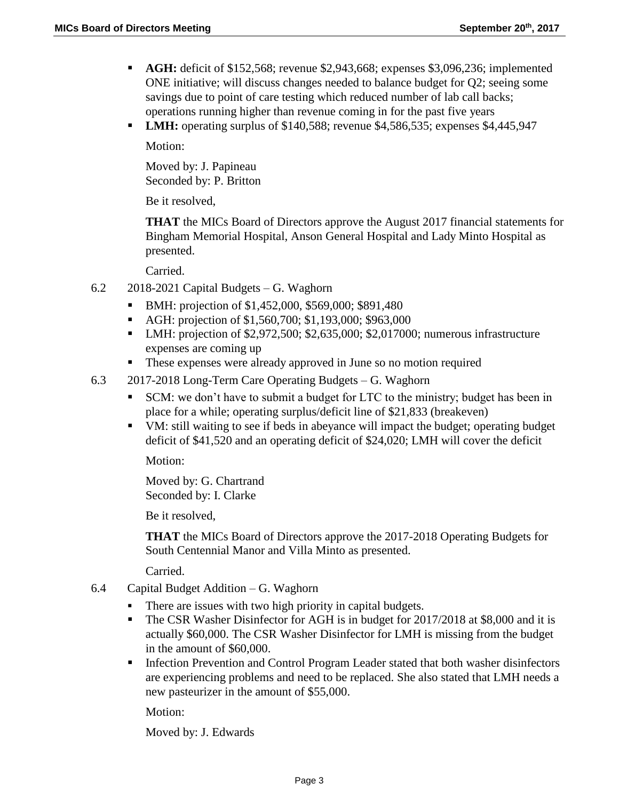- **AGH:** deficit of \$152,568; revenue \$2,943,668; expenses \$3,096,236; implemented ONE initiative; will discuss changes needed to balance budget for Q2; seeing some savings due to point of care testing which reduced number of lab call backs; operations running higher than revenue coming in for the past five years
- **LMH:** operating surplus of \$140,588; revenue \$4,586,535; expenses \$4,445,947

Motion:

Moved by: J. Papineau Seconded by: P. Britton

Be it resolved,

**THAT** the MICs Board of Directors approve the August 2017 financial statements for Bingham Memorial Hospital, Anson General Hospital and Lady Minto Hospital as presented.

Carried.

- 6.2 2018-2021 Capital Budgets G. Waghorn
	- **BMH:** projection of \$1,452,000, \$569,000; \$891,480
	- AGH: projection of \$1,560,700; \$1,193,000; \$963,000
	- LMH: projection of \$2,972,500; \$2,635,000; \$2,017000; numerous infrastructure expenses are coming up
	- These expenses were already approved in June so no motion required
- 6.3 2017-2018 Long-Term Care Operating Budgets G. Waghorn
	- SCM: we don't have to submit a budget for LTC to the ministry; budget has been in place for a while; operating surplus/deficit line of \$21,833 (breakeven)
	- VM: still waiting to see if beds in abeyance will impact the budget; operating budget deficit of \$41,520 and an operating deficit of \$24,020; LMH will cover the deficit

Motion:

Moved by: G. Chartrand Seconded by: I. Clarke

Be it resolved,

**THAT** the MICs Board of Directors approve the 2017-2018 Operating Budgets for South Centennial Manor and Villa Minto as presented.

Carried.

- 6.4 Capital Budget Addition G. Waghorn
	- There are issues with two high priority in capital budgets.
	- The CSR Washer Disinfector for AGH is in budget for 2017/2018 at \$8,000 and it is actually \$60,000. The CSR Washer Disinfector for LMH is missing from the budget in the amount of \$60,000.
	- **Infection Prevention and Control Program Leader stated that both washer disinfectors** are experiencing problems and need to be replaced. She also stated that LMH needs a new pasteurizer in the amount of \$55,000.

Motion:

Moved by: J. Edwards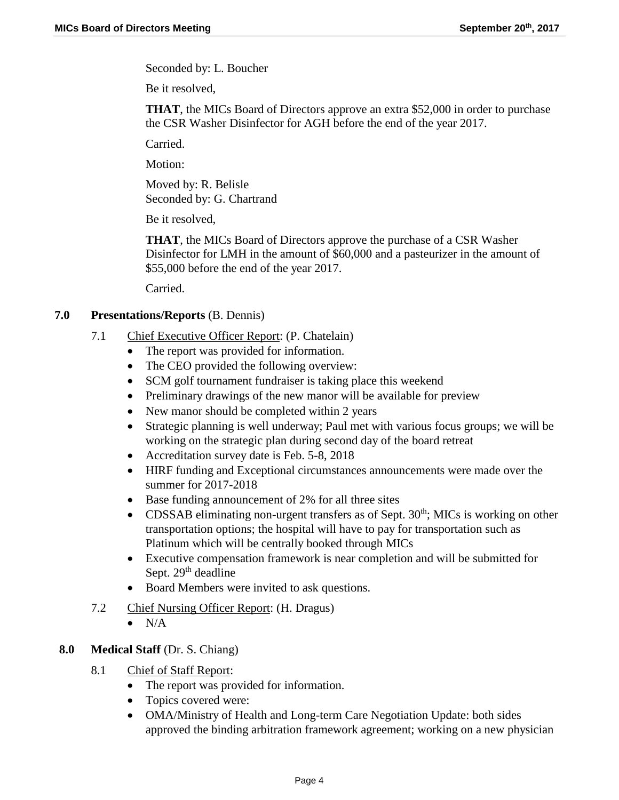Seconded by: L. Boucher

Be it resolved,

**THAT**, the MICs Board of Directors approve an extra \$52,000 in order to purchase the CSR Washer Disinfector for AGH before the end of the year 2017.

Carried.

Motion:

Moved by: R. Belisle Seconded by: G. Chartrand

Be it resolved,

**THAT**, the MICs Board of Directors approve the purchase of a CSR Washer Disinfector for LMH in the amount of \$60,000 and a pasteurizer in the amount of \$55,000 before the end of the year 2017.

Carried.

#### **7.0 Presentations/Reports** (B. Dennis)

- 7.1 Chief Executive Officer Report: (P. Chatelain)
	- The report was provided for information.
	- The CEO provided the following overview:
	- SCM golf tournament fundraiser is taking place this weekend
	- Preliminary drawings of the new manor will be available for preview
	- New manor should be completed within 2 years
	- Strategic planning is well underway; Paul met with various focus groups; we will be working on the strategic plan during second day of the board retreat
	- Accreditation survey date is Feb. 5-8, 2018
	- HIRF funding and Exceptional circumstances announcements were made over the summer for 2017-2018
	- Base funding announcement of 2% for all three sites
	- CDSSAB eliminating non-urgent transfers as of Sept.  $30<sup>th</sup>$ ; MICs is working on other transportation options; the hospital will have to pay for transportation such as Platinum which will be centrally booked through MICs
	- Executive compensation framework is near completion and will be submitted for Sept.  $29<sup>th</sup>$  deadline
	- Board Members were invited to ask questions.
- 7.2 Chief Nursing Officer Report: (H. Dragus)
	- $\bullet$  N/A

# **8.0 Medical Staff** (Dr. S. Chiang)

- 8.1 Chief of Staff Report:
	- The report was provided for information.
	- Topics covered were:
	- OMA/Ministry of Health and Long-term Care Negotiation Update: both sides approved the binding arbitration framework agreement; working on a new physician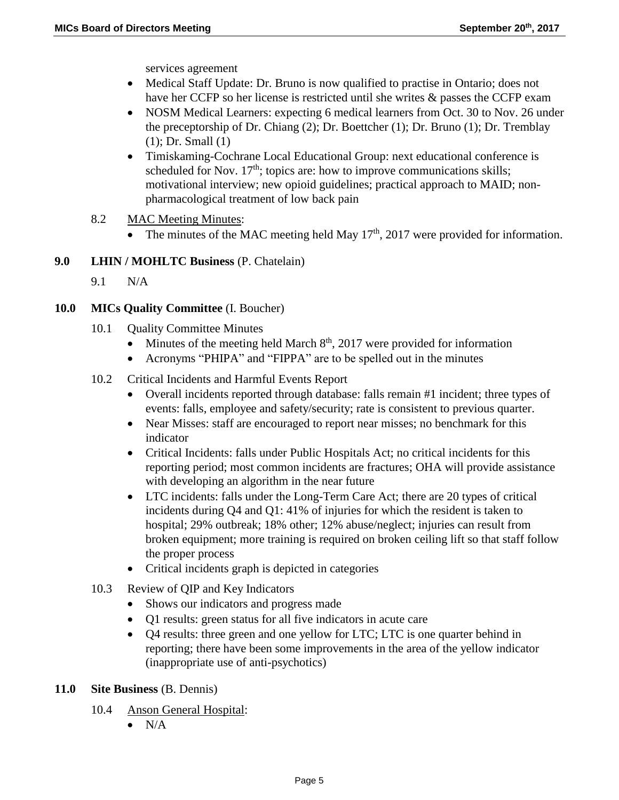services agreement

- Medical Staff Update: Dr. Bruno is now qualified to practise in Ontario; does not have her CCFP so her license is restricted until she writes & passes the CCFP exam
- NOSM Medical Learners: expecting 6 medical learners from Oct. 30 to Nov. 26 under the preceptorship of Dr. Chiang (2); Dr. Boettcher (1); Dr. Bruno (1); Dr. Tremblay (1); Dr. Small (1)
- Timiskaming-Cochrane Local Educational Group: next educational conference is scheduled for Nov.  $17<sup>th</sup>$ ; topics are: how to improve communications skills; motivational interview; new opioid guidelines; practical approach to MAID; nonpharmacological treatment of low back pain
- 8.2 MAC Meeting Minutes:
	- The minutes of the MAC meeting held May  $17<sup>th</sup>$ , 2017 were provided for information.

#### **9.0 LHIN / MOHLTC Business** (P. Chatelain)

9.1 N/A

#### **10.0 MICs Quality Committee** (I. Boucher)

- 10.1 **Quality Committee Minutes** 
	- Minutes of the meeting held March  $8<sup>th</sup>$ , 2017 were provided for information
	- Acronyms "PHIPA" and "FIPPA" are to be spelled out in the minutes
- 10.2 Critical Incidents and Harmful Events Report
	- Overall incidents reported through database: falls remain #1 incident; three types of events: falls, employee and safety/security; rate is consistent to previous quarter.
	- Near Misses: staff are encouraged to report near misses; no benchmark for this indicator
	- Critical Incidents: falls under Public Hospitals Act; no critical incidents for this reporting period; most common incidents are fractures; OHA will provide assistance with developing an algorithm in the near future
	- LTC incidents: falls under the Long-Term Care Act; there are 20 types of critical incidents during Q4 and Q1: 41% of injuries for which the resident is taken to hospital; 29% outbreak; 18% other; 12% abuse/neglect; injuries can result from broken equipment; more training is required on broken ceiling lift so that staff follow the proper process
	- Critical incidents graph is depicted in categories
- 10.3 Review of QIP and Key Indicators
	- Shows our indicators and progress made
	- Q1 results: green status for all five indicators in acute care
	- Q4 results: three green and one yellow for LTC; LTC is one quarter behind in reporting; there have been some improvements in the area of the yellow indicator (inappropriate use of anti-psychotics)
- **11.0 Site Business** (B. Dennis)
	- 10.4 Anson General Hospital:
		- $\bullet$  N/A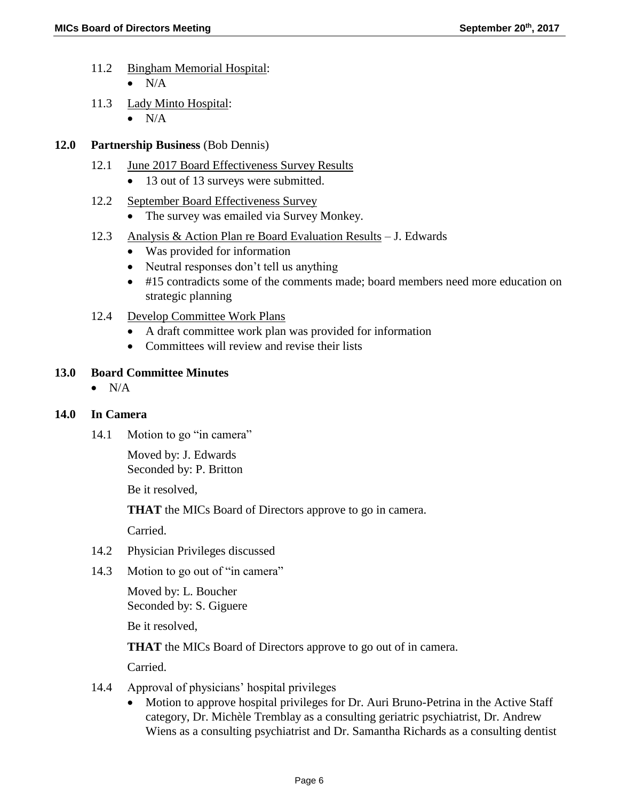- 11.2 Bingham Memorial Hospital:
	- $\bullet$  N/A
- 11.3 Lady Minto Hospital:
	- $\bullet$  N/A
- **12.0 Partnership Business** (Bob Dennis)
	- 12.1 June 2017 Board Effectiveness Survey Results
		- 13 out of 13 surveys were submitted.
	- 12.2 September Board Effectiveness Survey
		- The survey was emailed via Survey Monkey.
	- 12.3 Analysis & Action Plan re Board Evaluation Results J. Edwards
		- Was provided for information
		- Neutral responses don't tell us anything
		- #15 contradicts some of the comments made; board members need more education on strategic planning
	- 12.4 Develop Committee Work Plans
		- A draft committee work plan was provided for information
		- Committees will review and revise their lists

## **13.0 Board Committee Minutes**

 $\bullet$  N/A

## **14.0 In Camera**

14.1 Motion to go "in camera"

Moved by: J. Edwards Seconded by: P. Britton

Be it resolved,

**THAT** the MICs Board of Directors approve to go in camera.

Carried.

- 14.2 Physician Privileges discussed
- 14.3 Motion to go out of "in camera"

Moved by: L. Boucher Seconded by: S. Giguere

Be it resolved,

**THAT** the MICs Board of Directors approve to go out of in camera.

Carried.

- 14.4 Approval of physicians' hospital privileges
	- Motion to approve hospital privileges for Dr. Auri Bruno-Petrina in the Active Staff category, Dr. Michèle Tremblay as a consulting geriatric psychiatrist, Dr. Andrew Wiens as a consulting psychiatrist and Dr. Samantha Richards as a consulting dentist